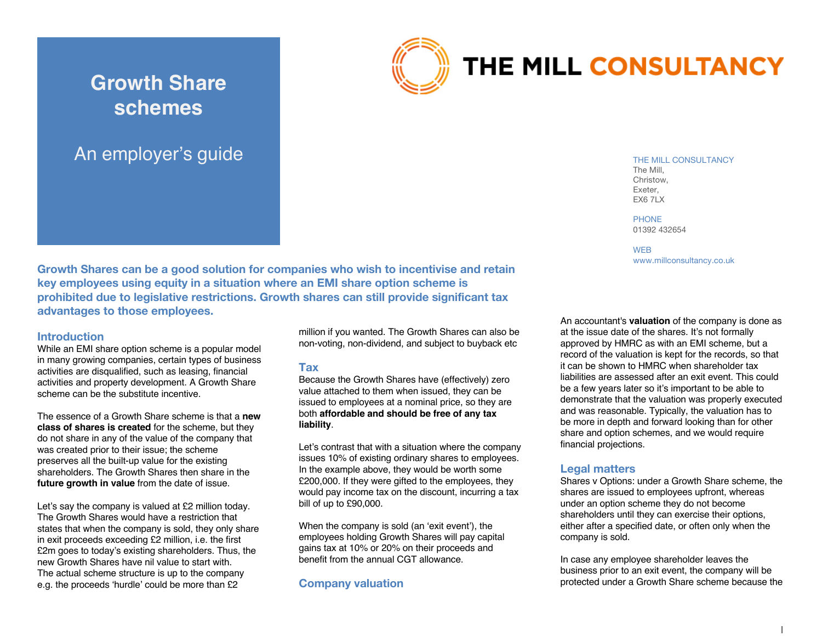# **Growth Share schemes**





# THE MILL CONSULTANCY

THE MILL CONSULTANCY The Mill, Christow, Exeter,

PHONE 01392 432654

**EX6 7LX** 

**WFB** www.millconsultancy.co.uk

**Growth Shares can be a good solution for companies who wish to incentivise and retain key employees using equity in a situation where an EMI share option scheme is prohibited due to legislative restrictions. Growth shares can still provide significant tax advantages to those employees.** 

#### **Introduction**

While an EMI share option scheme is a popular model in many growing companies, certain types of business activities are disqualified, such as leasing, financial activities and property development. A Growth Share scheme can be the substitute incentive.

The essence of a Growth Share scheme is that a **new class of shares is created** for the scheme, but they do not share in any of the value of the company that was created prior to their issue; the scheme preserves all the built-up value for the existing shareholders. The Growth Shares then share in the **future growth in value** from the date of issue.

Let's say the company is valued at £2 million today. The Growth Shares would have a restriction that states that when the company is sold, they only share in exit proceeds exceeding £2 million, i.e. the first £2m goes to today's existing shareholders. Thus, the new Growth Shares have nil value to start with. The actual scheme structure is up to the company e.g. the proceeds 'hurdle' could be more than £2

million if you wanted. The Growth Shares can also be non-voting, non-dividend, and subject to buyback etc

#### **Tax**

Because the Growth Shares have (effectively) zero value attached to them when issued, they can be issued to employees at a nominal price, so they are both **affordable and should be free of any tax liability**.

Let's contrast that with a situation where the company issues 10% of existing ordinary shares to employees. In the example above, they would be worth some £200,000. If they were gifted to the employees, they would pay income tax on the discount, incurring a tax bill of up to £90,000.

When the company is sold (an 'exit event'), the employees holding Growth Shares will pay capital gains tax at 10% or 20% on their proceeds and benefit from the annual CGT allowance.

#### **Company valuation**

An accountant's **valuation** of the company is done as at the issue date of the shares. It's not formally approved by HMRC as with an EMI scheme, but a record of the valuation is kept for the records, so that it can be shown to HMRC when shareholder tax liabilities are assessed after an exit event. This could be a few years later so it's important to be able to demonstrate that the valuation was properly executed and was reasonable. Typically, the valuation has to be more in depth and forward looking than for other share and option schemes, and we would require financial projections.

#### **Legal matters**

Shares v Options: under a Growth Share scheme, the shares are issued to employees upfront, whereas under an option scheme they do not become shareholders until they can exercise their options, either after a specified date, or often only when the company is sold.

In case any employee shareholder leaves the business prior to an exit event, the company will be protected under a Growth Share scheme because the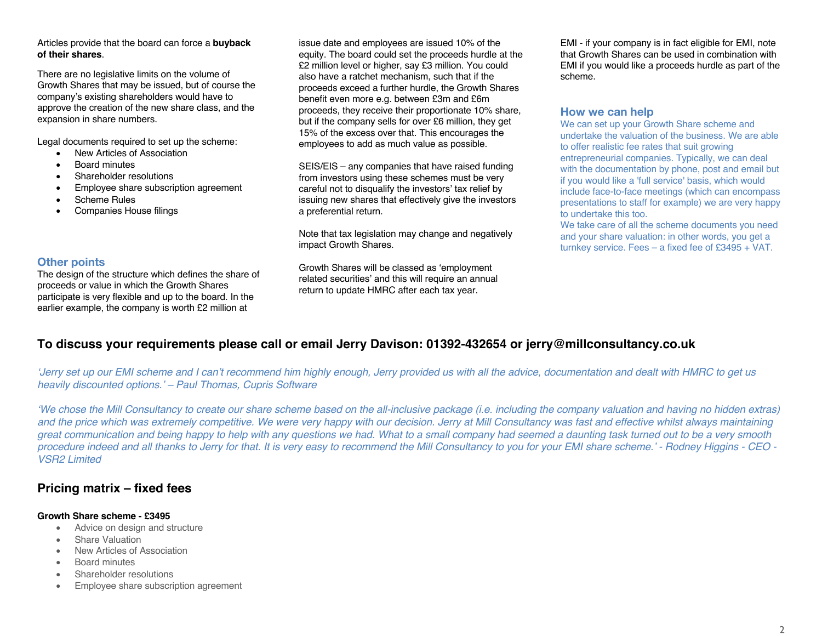#### Articles provide that the board can force a **buyback of their shares**.

There are no legislative limits on the volume of Growth Shares that may be issued, but of course the company's existing shareholders would have to approve the creation of the new share class, and the expansion in share numbers.

Legal documents required to set up the scheme:

- New Articles of Association
- Board minutes
- Shareholder resolutions
- Employee share subscription agreement
- Scheme Rules
- Companies House filings

#### **Other points**

The design of the structure which defines the share of proceeds or value in which the Growth Shares participate is very flexible and up to the board. In the earlier example, the company is worth £2 million at

issue date and employees are issued 10% of the equity. The board could set the proceeds hurdle at the £2 million level or higher, say £3 million. You could also have a ratchet mechanism, such that if the proceeds exceed a further hurdle, the Growth Shares benefit even more e.g. between £3m and £6m proceeds, they receive their proportionate 10% share, but if the company sells for over £6 million, they get 15% of the excess over that. This encourages the employees to add as much value as possible.

SEIS/EIS – any companies that have raised funding from investors using these schemes must be very careful not to disqualify the investors' tax relief by issuing new shares that effectively give the investors a preferential return.

Note that tax legislation may change and negatively impact Growth Shares.

Growth Shares will be classed as 'employment related securities' and this will require an annual return to update HMRC after each tax year.

EMI - if your company is in fact eligible for EMI, note that Growth Shares can be used in combination with EMI if you would like a proceeds hurdle as part of the scheme.

#### **How we can help**

We can set up your Growth Share scheme and undertake the valuation of the business. We are able to offer realistic fee rates that suit growing entrepreneurial companies. Typically, we can deal with the documentation by phone, post and email but if you would like a 'full service' basis, which would include face-to-face meetings (which can encompass presentations to staff for example) we are very happy to undertake this too.

We take care of all the scheme documents you need and your share valuation: in other words, you get a turnkey service. Fees – a fixed fee of £3495 + VAT.

## **To discuss your requirements please call or email Jerry Davison: 01392-432654 or jerry@millconsultancy.co.uk**

*'Jerry set up our EMI scheme and I can't recommend him highly enough, Jerry provided us with all the advice, documentation and dealt with HMRC to get us heavily discounted options.' – Paul Thomas, Cupris Software*

*'We chose the Mill Consultancy to create our share scheme based on the all-inclusive package (i.e. including the company valuation and having no hidden extras) and the price which was extremely competitive. We were very happy with our decision. Jerry at Mill Consultancy was fast and effective whilst always maintaining great communication and being happy to help with any questions we had. What to a small company had seemed a daunting task turned out to be a very smooth procedure indeed and all thanks to Jerry for that. It is very easy to recommend the Mill Consultancy to you for your EMI share scheme.' - Rodney Higgins - CEO - VSR2 Limited*

### **Pricing matrix – fixed fees**

#### **Growth Share scheme - £3495**

- Advice on design and structure
- Share Valuation
- New Articles of Association
- Board minutes
- Shareholder resolutions
- Employee share subscription agreement